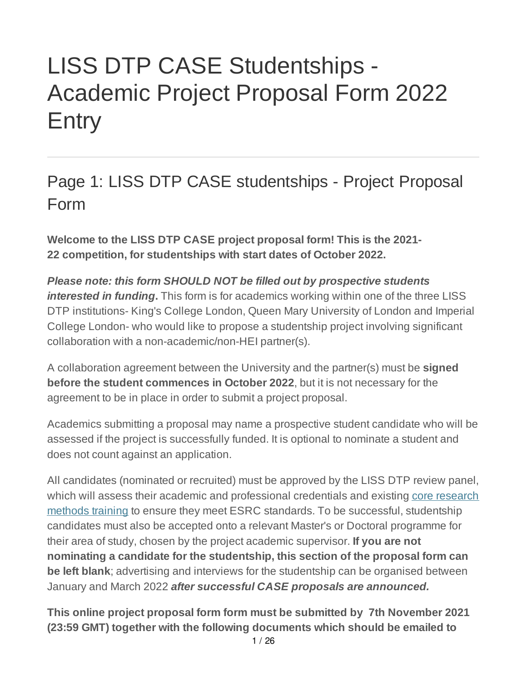# LISS DTP CASE Studentships - Academic Project Proposal Form 2022 **Entry**

# Page 1: LISS DTP CASE studentships - Project Proposal Form

**Welcome to the LISS DTP CASE project proposal form! This is the 2021- 22 competition, for studentships with start dates of October 2022.**

*Please note: this form SHOULD NOT be filled out by prospective students interested in funding***.** This form is for academics working within one of the three LISS DTP institutions- King's College London, Queen Mary University of London and Imperial College London- who would like to propose a studentship project involving significant collaboration with a non-academic/non-HEI partner(s).

A collaboration agreement between the University and the partner(s) must be **signed before the student commences in October 2022**, but it is not necessary for the agreement to be in place in order to submit a project proposal.

Academics submitting a proposal may name a prospective student candidate who will be assessed if the project is successfully funded. It is optional to nominate a student and does not count against an application.

All candidates (nominated or recruited) must be approved by the LISS DTP review panel, which will assess their academic and professional credentials and existing core research methods training to ensure they meet ESRC standards. To be successful, studentship candidates must also be accepted onto a relevant Master's or Doctoral programme for their area of study, chosen by the project academic supervisor. **If you are not nominating a candidate for the studentship, this section of the proposal form can be left blank**; advertising and interviews for the studentship can be organised between January and March 2022 *after successful CASE proposals are announced.*

**This online project proposal form form must be submitted by 7th November 2021 (23:59 GMT) together with the following documents which should be emailed to**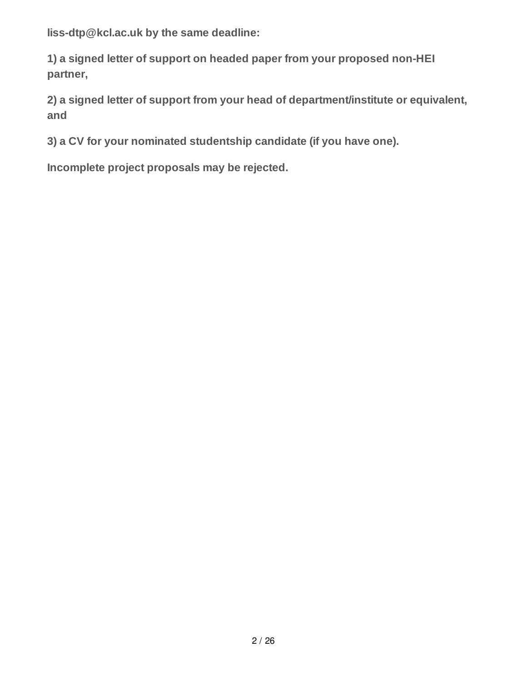**liss-dtp@kcl.ac.uk by the same deadline:**

**1) a signed letter of support on headed paper from your proposed non-HEI partner,**

**2) a signed letter of support from your head of department/institute or equivalent, and**

**3) a CV for your nominated studentship candidate (if you have one).**

**Incomplete project proposals may be rejected.**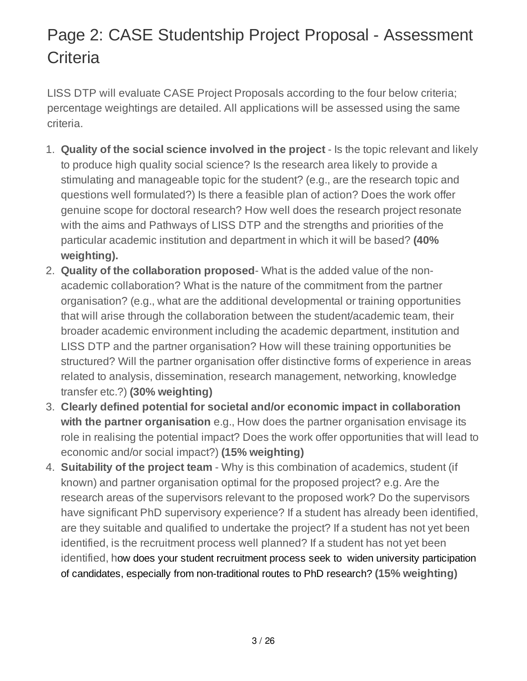# Page 2: CASE Studentship Project Proposal - Assessment **Criteria**

LISS DTP will evaluate CASE Project Proposals according to the four below criteria; percentage weightings are detailed. All applications will be assessed using the same criteria.

- 1. **Quality of the social science involved in the project** Is the topic relevant and likely to produce high quality social science? Is the research area likely to provide a stimulating and manageable topic for the student? (e.g., are the research topic and questions well formulated?) Is there a feasible plan of action? Does the work offer genuine scope for doctoral research? How well does the research project resonate with the aims and Pathways of LISS DTP and the strengths and priorities of the particular academic institution and department in which it will be based? **(40% weighting).**
- 2. **Quality of the collaboration proposed** What is the added value of the nonacademic collaboration? What is the nature of the commitment from the partner organisation? (e.g., what are the additional developmental or training opportunities that will arise through the collaboration between the student/academic team, their broader academic environment including the academic department, institution and LISS DTP and the partner organisation? How will these training opportunities be structured? Will the partner organisation offer distinctive forms of experience in areas related to analysis, dissemination, research management, networking, knowledge transfer etc.?) **(30% weighting)**
- 3. **Clearly defined potential for societal and/or economic impact in collaboration with the partner organisation** e.g., How does the partner organisation envisage its role in realising the potential impact? Does the work offer opportunities that will lead to economic and/or social impact?) **(15% weighting)**
- 4. **Suitability of the project team** Why is this combination of academics, student (if known) and partner organisation optimal for the proposed project? e.g. Are the research areas of the supervisors relevant to the proposed work? Do the supervisors have significant PhD supervisory experience? If a student has already been identified, are they suitable and qualified to undertake the project? If a student has not yet been identified, is the recruitment process well planned? If a student has not yet been identified, how does your student recruitment process seek to widen university participation of candidates, especially from non-traditional routes to PhD research? **(15% weighting)**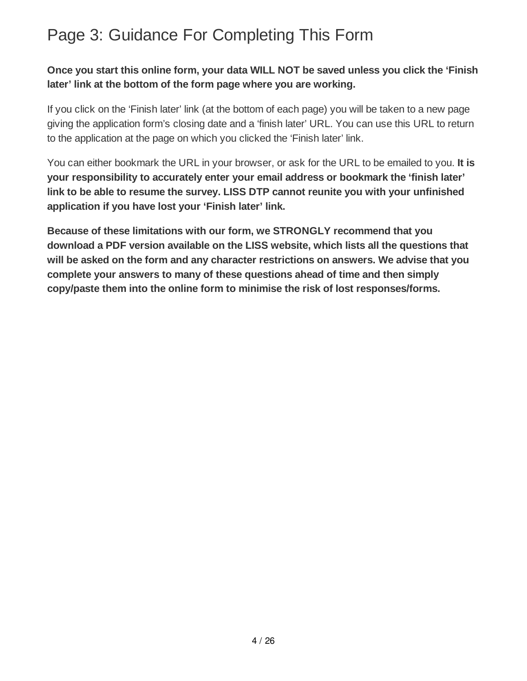### Page 3: Guidance For Completing This Form

#### **Once you start this online form, your data WILL NOT be saved unless you click the 'Finish later' link at the bottom of the form page where you are working.**

If you click on the 'Finish later' link (at the bottom of each page) you will be taken to a new page giving the application form's closing date and a 'finish later' URL. You can use this URL to return to the application at the page on which you clicked the 'Finish later' link.

You can either bookmark the URL in your browser, or ask for the URL to be emailed to you. **It is your responsibility to accurately enter your email address or bookmark the 'finish later' link to be able to resume the survey. LISS DTP cannot reunite you with your unfinished application if you have lost your 'Finish later' link.**

**Because of these limitations with our form, we STRONGLY recommend that you download a PDF version available on the LISS website, which lists all the questions that will be asked on the form and any character restrictions on answers. We advise that you complete your answers to many of these questions ahead of time and then simply copy/paste them into the online form to minimise the risk of lost responses/forms.**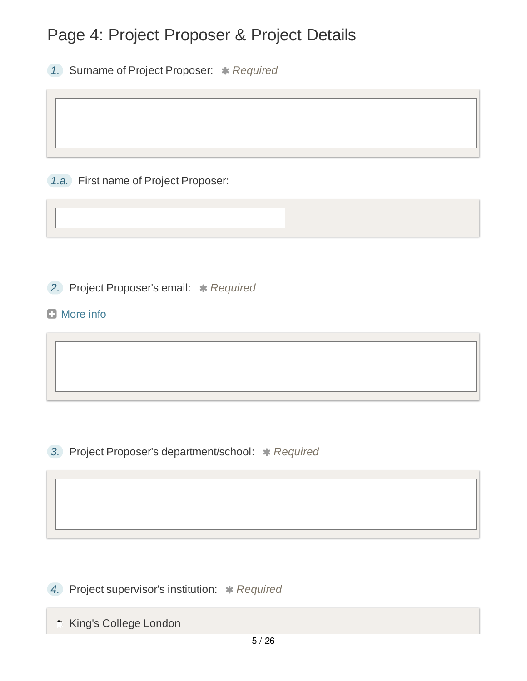### Page 4: Project Proposer & Project Details

**1.** Surname of Project Proposer: \* Required

*1.a.* First name of Project Proposer:

**2.** Project Proposer's email:  $*$  Required

### **D** More info

*3.* Project Proposer's department/school: *Required*

*4.* Project supervisor's institution: *Required*

King's College London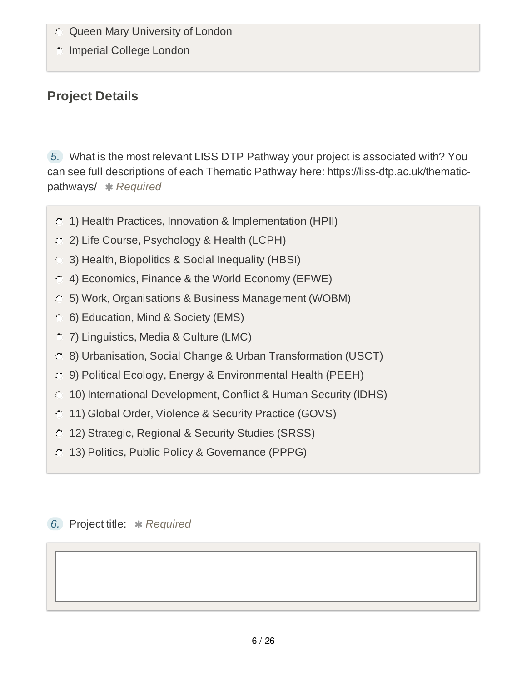- Queen Mary University of London
- Imperial College London

### **Project Details**

*5.* What is the most relevant LISS DTP Pathway your project is associated with? You can see full descriptions of each Thematic Pathway here: https://liss-dtp.ac.uk/thematicpathways/ *Required*

- 1) Health Practices, Innovation & Implementation (HPII)
- 2) Life Course, Psychology & Health (LCPH)
- 3) Health, Biopolitics & Social Inequality (HBSI)
- 4) Economics, Finance & the World Economy (EFWE)
- 5) Work, Organisations & Business Management (WOBM)
- 6) Education, Mind & Society (EMS)
- 7) Linguistics, Media & Culture (LMC)
- 8) Urbanisation, Social Change & Urban Transformation (USCT)
- 9) Political Ecology, Energy & Environmental Health (PEEH)
- 10) International Development, Conflict & Human Security (IDHS)
- 11) Global Order, Violence & Security Practice (GOVS)
- 12) Strategic, Regional & Security Studies (SRSS)
- 13) Politics, Public Policy & Governance (PPPG)

**6.** Project title: \* Required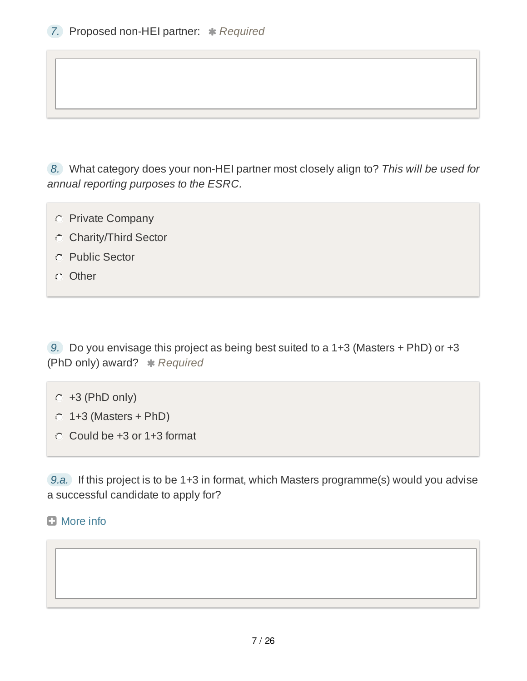*8.* What category does your non-HEI partner most closely align to? *This will be used for annual reporting purposes to the ESRC.*

- Private Company
- C Charity/Third Sector
- C Public Sector
- **Other**

*9.* Do you envisage this project as being best suited to a 1+3 (Masters + PhD) or +3 (PhD only) award? \* Required

- $C$  +3 (PhD only)
- $O$  1+3 (Masters + PhD)
- $\circ$  Could be +3 or 1+3 format

*9.a.* If this project is to be 1+3 in format, which Masters programme(s) would you advise a successful candidate to apply for?

#### **D** More info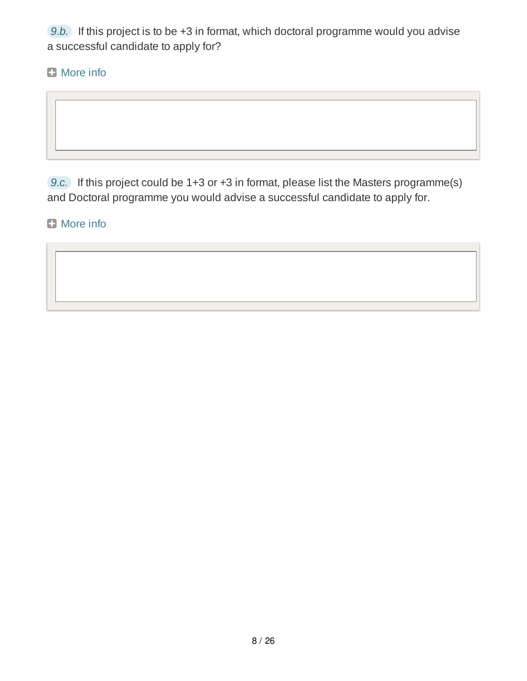*9.b.* If this project is to be +3 in format, which doctoral programme would you advise a successful candidate to apply for?

**D** More info

*9.c.* If this project could be 1+3 or +3 in format, please list the Masters programme(s) and Doctoral programme you would advise a successful candidate to apply for.

**B** More info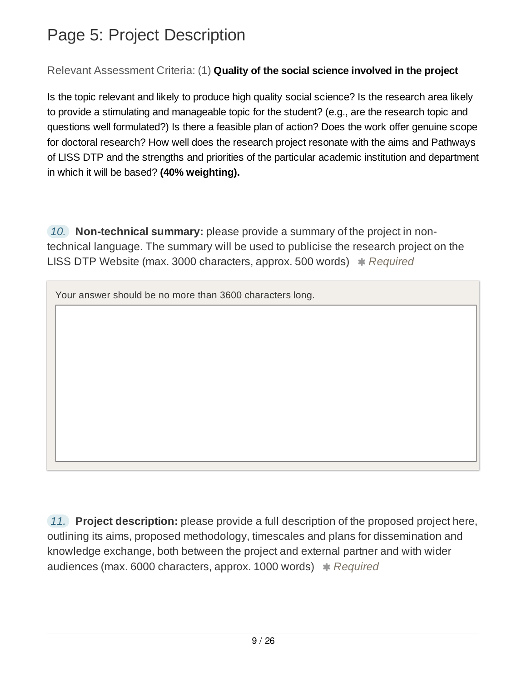# Page 5: Project Description

#### Relevant Assessment Criteria: (1) **Quality of the social science involved in the project**

Is the topic relevant and likely to produce high quality social science? Is the research area likely to provide a stimulating and manageable topic for the student? (e.g., are the research topic and questions well formulated?) Is there a feasible plan of action? Does the work offer genuine scope for doctoral research? How well does the research project resonate with the aims and Pathways of LISS DTP and the strengths and priorities of the particular academic institution and department in which it will be based? **(40% weighting).**

*10.* **Non-technical summary:** please provide a summary of the project in nontechnical language. The summary will be used to publicise the research project on the LISS DTP Website (max. 3000 characters, approx. 500 words) \* Required

Your answer should be no more than 3600 characters long.

*11.* **Project description:** please provide a full description of the proposed project here, outlining its aims, proposed methodology, timescales and plans for dissemination and knowledge exchange, both between the project and external partner and with wider audiences (max. 6000 characters, approx. 1000 words) **\*** Required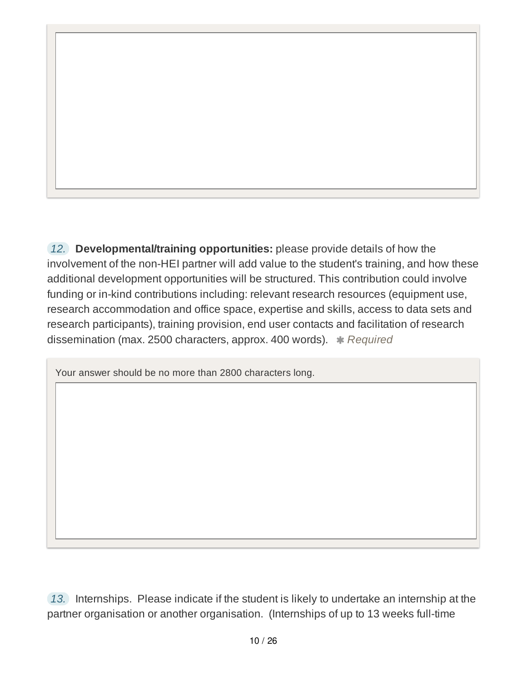*12.* **Developmental/training opportunities:** please provide details of how the involvement of the non-HEI partner will add value to the student's training, and how these additional development opportunities will be structured. This contribution could involve funding or in-kind contributions including: relevant research resources (equipment use, research accommodation and office space, expertise and skills, access to data sets and research participants), training provision, end user contacts and facilitation of research dissemination (max. 2500 characters, approx. 400 words). \* Required

Your answer should be no more than 2800 characters long.

*13.* Internships. Please indicate if the student is likely to undertake an internship at the partner organisation or another organisation. (Internships of up to 13 weeks full-time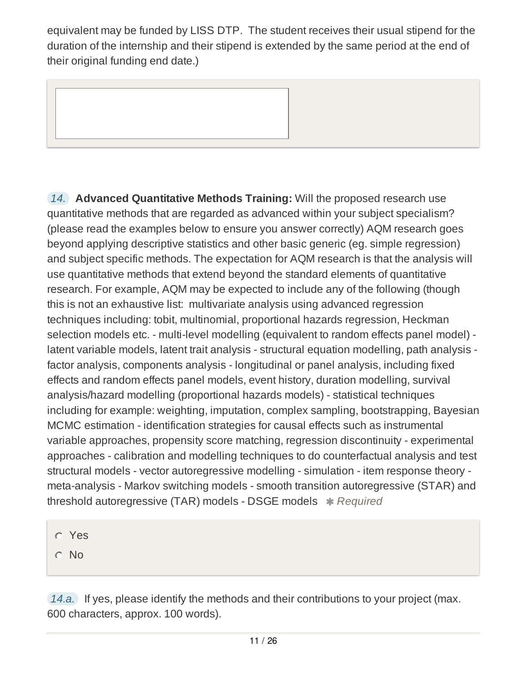equivalent may be funded by LISS DTP. The student receives their usual stipend for the duration of the internship and their stipend is extended by the same period at the end of their original funding end date.)

*14.* **Advanced Quantitative Methods Training:** Will the proposed research use quantitative methods that are regarded as advanced within your subject specialism? (please read the examples below to ensure you answer correctly) AQM research goes beyond applying descriptive statistics and other basic generic (eg. simple regression) and subject specific methods. The expectation for AQM research is that the analysis will use quantitative methods that extend beyond the standard elements of quantitative research. For example, AQM may be expected to include any of the following (though this is not an exhaustive list: multivariate analysis using advanced regression techniques including: tobit, multinomial, proportional hazards regression, Heckman selection models etc. - multi-level modelling (equivalent to random effects panel model) latent variable models, latent trait analysis - structural equation modelling, path analysis factor analysis, components analysis - longitudinal or panel analysis, including fixed effects and random effects panel models, event history, duration modelling, survival analysis/hazard modelling (proportional hazards models) - statistical techniques including for example: weighting, imputation, complex sampling, bootstrapping, Bayesian MCMC estimation - identification strategies for causal effects such as instrumental variable approaches, propensity score matching, regression discontinuity - experimental approaches - calibration and modelling techniques to do counterfactual analysis and test structural models - vector autoregressive modelling - simulation - item response theory meta-analysis - Markov switching models - smooth transition autoregressive (STAR) and threshold autoregressive (TAR) models - DSGE models  $*$  Required

Yes

No

*14.a.* If yes, please identify the methods and their contributions to your project (max. 600 characters, approx. 100 words).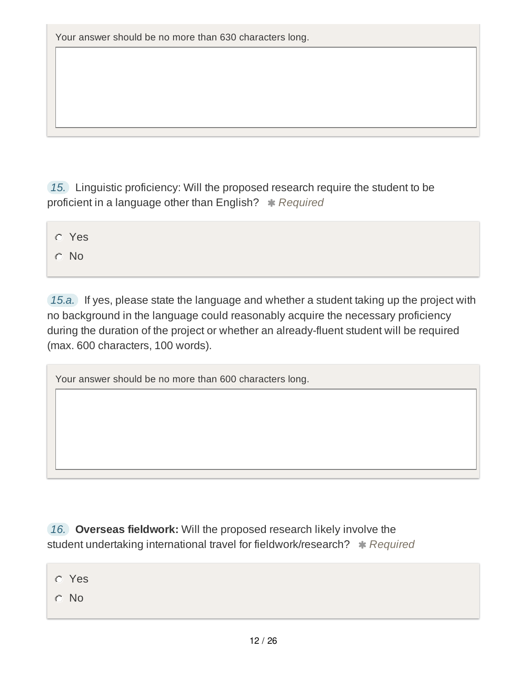*15.* Linguistic proficiency: Will the proposed research require the student to be proficient in a language other than English? \* Required

Yes No

*15.a.* If yes, please state the language and whether a student taking up the project with no background in the language could reasonably acquire the necessary proficiency during the duration of the project or whether an already-fluent student will be required (max. 600 characters, 100 words).

Your answer should be no more than 600 characters long.

*16.* **Overseas fieldwork:** Will the proposed research likely involve the student undertaking international travel for fieldwork/research? \* Required

Yes

C No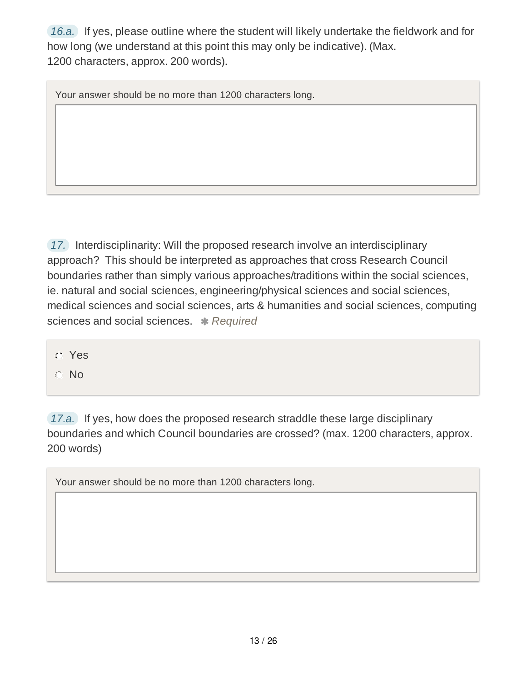*16.a.* If yes, please outline where the student will likely undertake the fieldwork and for how long (we understand at this point this may only be indicative). (Max. 1200 characters, approx. 200 words).

Your answer should be no more than 1200 characters long.

*17.* Interdisciplinarity: Will the proposed research involve an interdisciplinary approach? This should be interpreted as approaches that cross Research Council boundaries rather than simply various approaches/traditions within the social sciences, ie. natural and social sciences, engineering/physical sciences and social sciences, medical sciences and social sciences, arts & humanities and social sciences, computing sciences and social sciences. \* Required

Yes

C No

*17.a.* If yes, how does the proposed research straddle these large disciplinary boundaries and which Council boundaries are crossed? (max. 1200 characters, approx. 200 words)

Your answer should be no more than 1200 characters long.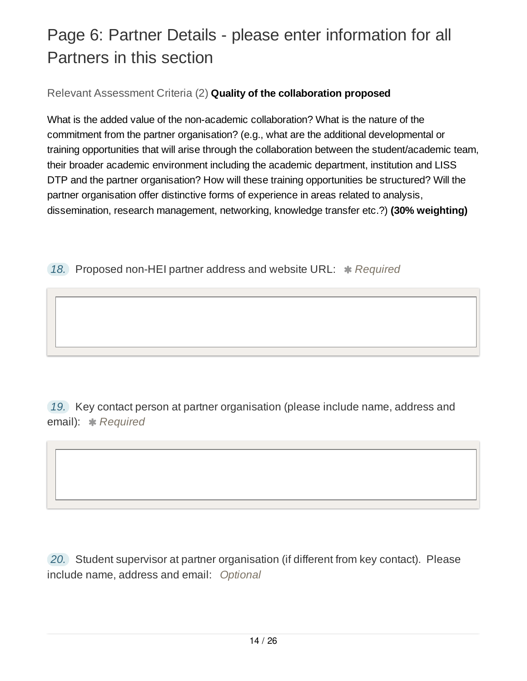# Page 6: Partner Details - please enter information for all Partners in this section

### Relevant Assessment Criteria (2) **Quality of the collaboration proposed**

What is the added value of the non-academic collaboration? What is the nature of the commitment from the partner organisation? (e.g., what are the additional developmental or training opportunities that will arise through the collaboration between the student/academic team, their broader academic environment including the academic department, institution and LISS DTP and the partner organisation? How will these training opportunities be structured? Will the partner organisation offer distinctive forms of experience in areas related to analysis, dissemination, research management, networking, knowledge transfer etc.?) **(30% weighting)**

18. Proposed non-HEI partner address and website URL: \* Required

*19.* Key contact person at partner organisation (please include name, address and email): *Required*

*20.* Student supervisor at partner organisation (if different from key contact). Please include name, address and email: *Optional*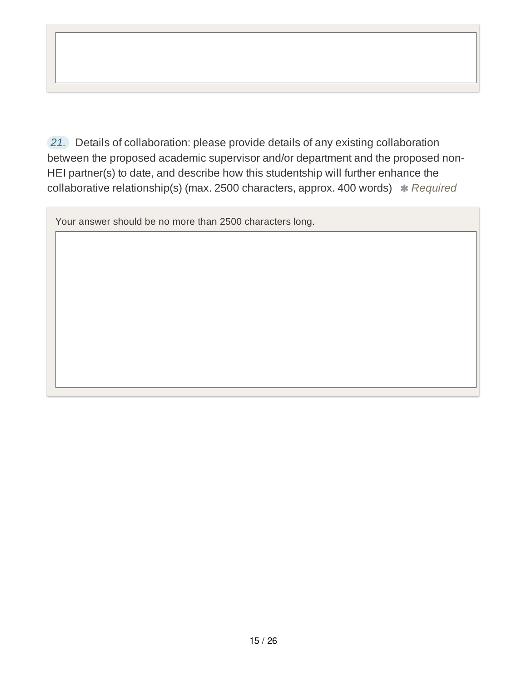*21.* Details of collaboration: please provide details of any existing collaboration between the proposed academic supervisor and/or department and the proposed non-HEI partner(s) to date, and describe how this studentship will further enhance the collaborative relationship(s) (max. 2500 characters, approx. 400 words) \* Required

Your answer should be no more than 2500 characters long.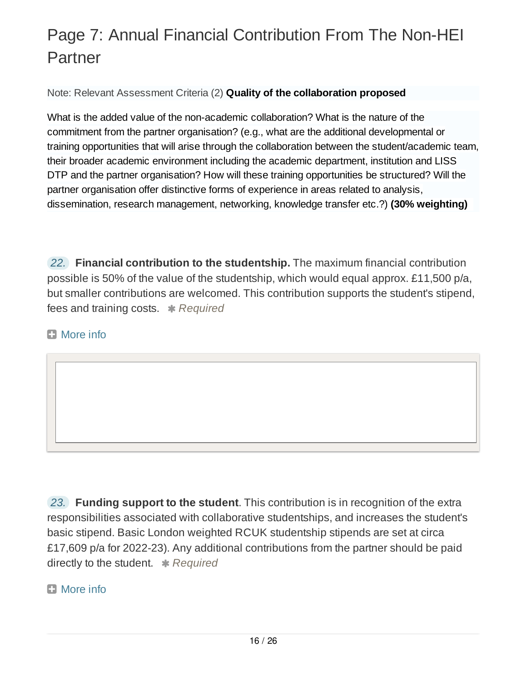# Page 7: Annual Financial Contribution From The Non-HEI Partner

Note: Relevant Assessment Criteria (2) **Quality of the collaboration proposed**

What is the added value of the non-academic collaboration? What is the nature of the commitment from the partner organisation? (e.g., what are the additional developmental or training opportunities that will arise through the collaboration between the student/academic team, their broader academic environment including the academic department, institution and LISS DTP and the partner organisation? How will these training opportunities be structured? Will the partner organisation offer distinctive forms of experience in areas related to analysis, dissemination, research management, networking, knowledge transfer etc.?) **(30% weighting)**

*22.* **Financial contribution to the studentship.** The maximum financial contribution possible is 50% of the value of the studentship, which would equal approx. £11,500 p/a, but smaller contributions are welcomed. This contribution supports the student's stipend, fees and training costs. **\*** Required

**D** More info

*23.* **Funding support to the student**. This contribution is in recognition of the extra responsibilities associated with collaborative studentships, and increases the student's basic stipend. Basic London weighted RCUK studentship stipends are set at circa £17,609 p/a for 2022-23). Any additional contributions from the partner should be paid directly to the student. *Required*

#### **El** More info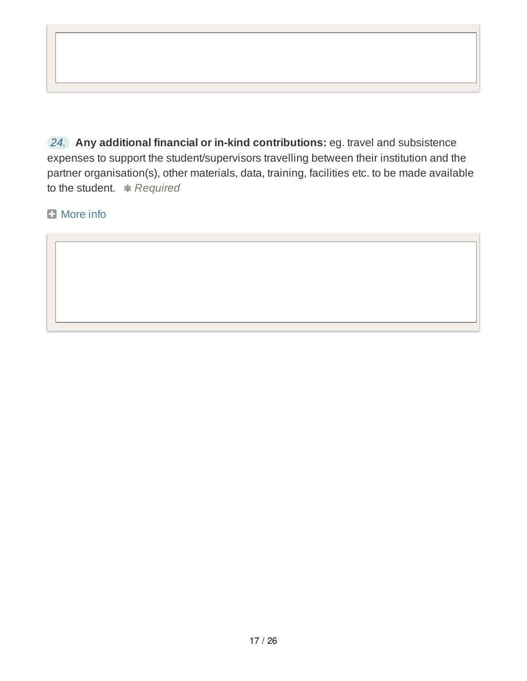*24.* **Any additional financial or in-kind contributions:** eg. travel and subsistence expenses to support the student/supervisors travelling between their institution and the partner organisation(s), other materials, data, training, facilities etc. to be made available to the student. *Required*

**D** More info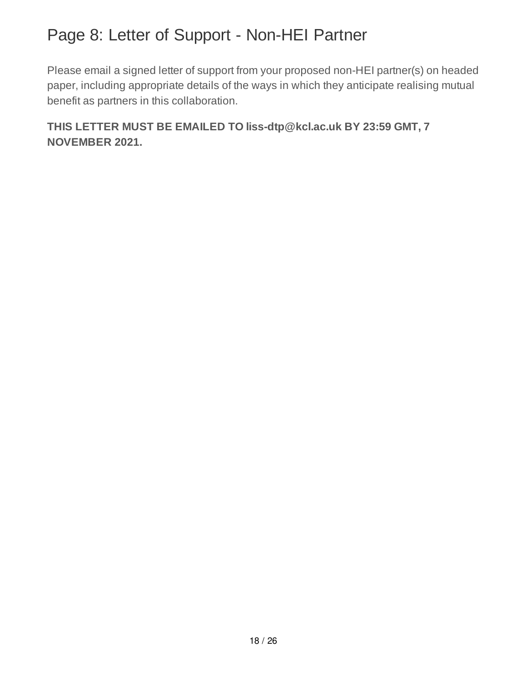### Page 8: Letter of Support - Non-HEI Partner

Please email a signed letter of support from your proposed non-HEI partner(s) on headed paper, including appropriate details of the ways in which they anticipate realising mutual benefit as partners in this collaboration.

**THIS LETTER MUST BE EMAILED TO liss-dtp@kcl.ac.uk BY 23:59 GMT, 7 NOVEMBER 2021.**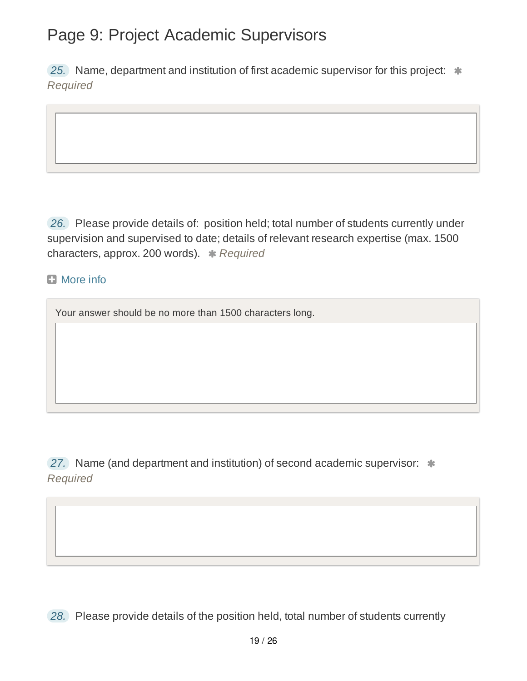### Page 9: Project Academic Supervisors

25. Name, department and institution of first academic supervisor for this project:  $\ast$ *Required*

*26.* Please provide details of: position held; total number of students currently under supervision and supervised to date; details of relevant research expertise (max. 1500 characters, approx. 200 words). *Required*

#### **El** More info

Your answer should be no more than 1500 characters long.

**27.** Name (and department and institution) of second academic supervisor:  $*$ *Required*

*28.* Please provide details of the position held, total number of students currently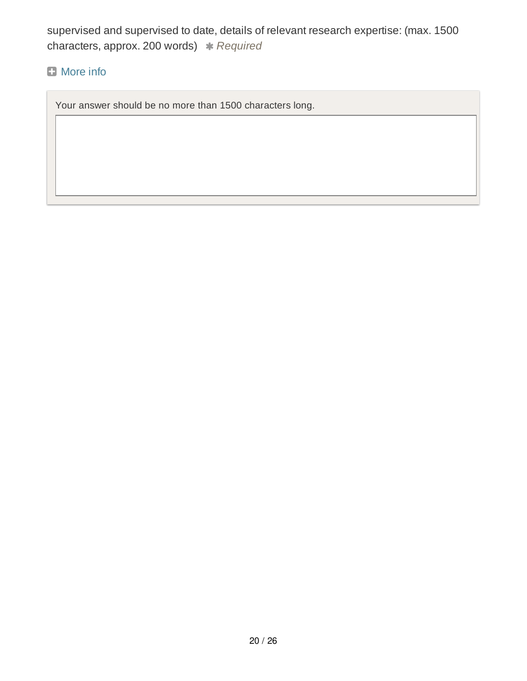supervised and supervised to date, details of relevant research expertise: (max. 1500 characters, approx. 200 words) \* Required

### **D** More info

Your answer should be no more than 1500 characters long.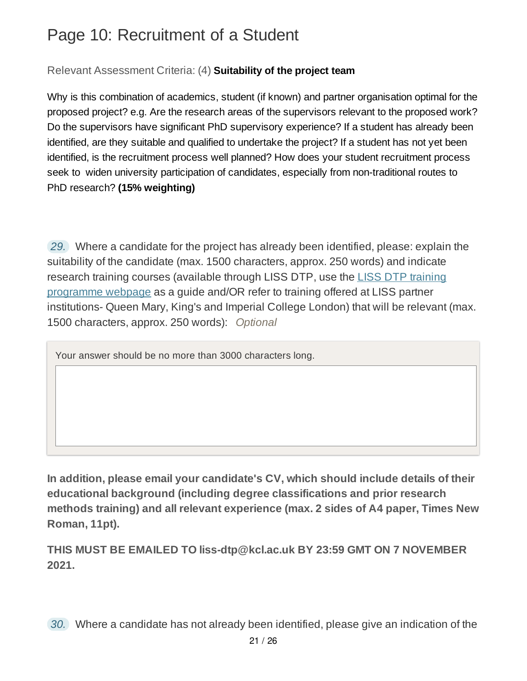## Page 10: Recruitment of a Student

### Relevant Assessment Criteria: (4) **Suitability of the project team**

Why is this combination of academics, student (if known) and partner organisation optimal for the proposed project? e.g. Are the research areas of the supervisors relevant to the proposed work? Do the supervisors have significant PhD supervisory experience? If a student has already been identified, are they suitable and qualified to undertake the project? If a student has not yet been identified, is the recruitment process well planned? How does your student recruitment process seek to widen university participation of candidates, especially from non-traditional routes to PhD research? **(15% weighting)**

*29.* Where a candidate for the project has already been identified, please: explain the suitability of the candidate (max. 1500 characters, approx. 250 words) and indicate research training courses (available through LISS DTP, use the LISS DTP training programme webpage as a guide and/OR refer to training offered at LISS partner institutions- Queen Mary, King's and Imperial College London) that will be relevant (max. 1500 characters, approx. 250 words): *Optional*

Your answer should be no more than 3000 characters long.

**In addition, please email your candidate's CV, which should include details of their educational background (including degree classifications and prior research methods training) and all relevant experience (max. 2 sides of A4 paper, Times New Roman, 11pt).**

**THIS MUST BE EMAILED TO liss-dtp@kcl.ac.uk BY 23:59 GMT ON 7 NOVEMBER 2021.**

*30.* Where a candidate has not already been identified, please give an indication of the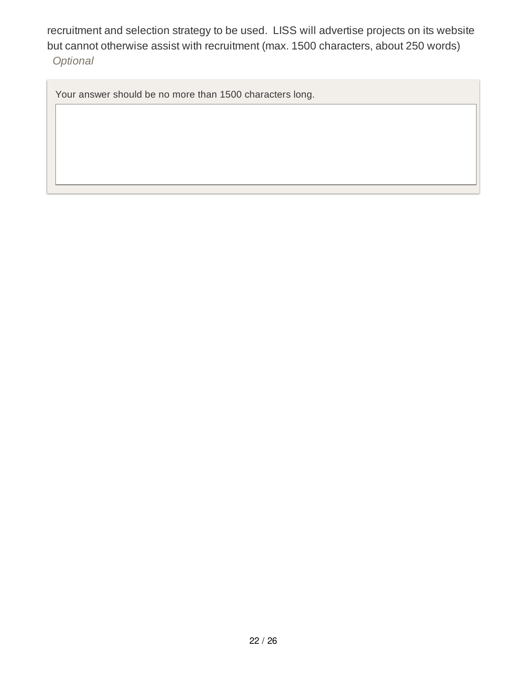recruitment and selection strategy to be used. LISS will advertise projects on its website but cannot otherwise assist with recruitment (max. 1500 characters, about 250 words) *Optional*

Your answer should be no more than 1500 characters long.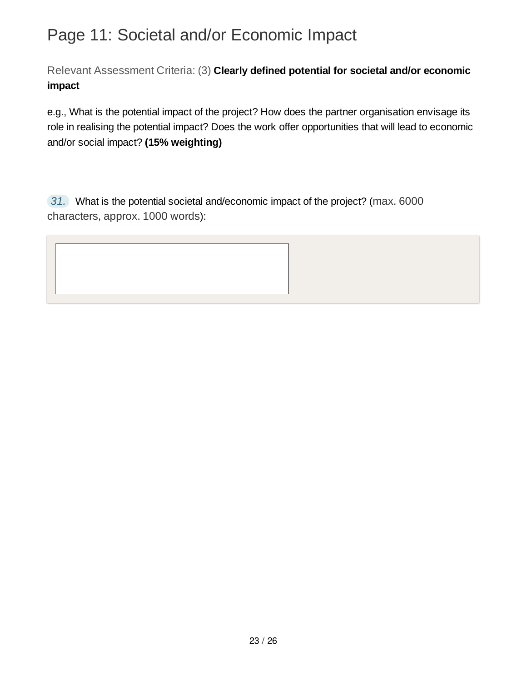### Page 11: Societal and/or Economic Impact

Relevant Assessment Criteria: (3) **Clearly defined potential for societal and/or economic impact**

e.g., What is the potential impact of the project? How does the partner organisation envisage its role in realising the potential impact? Does the work offer opportunities that will lead to economic and/or social impact? **(15% weighting)**

*31.* What is the potential societal and/economic impact of the project? (max. 6000 characters, approx. 1000 words):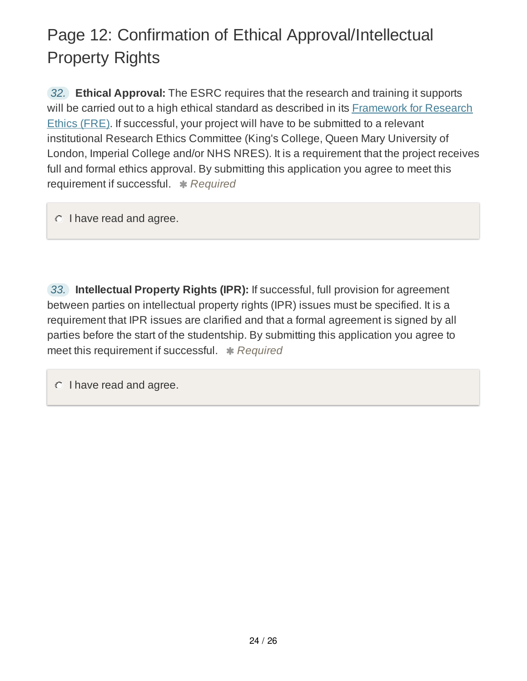# Page 12: Confirmation of Ethical Approval/Intellectual Property Rights

*32.* **Ethical Approval:** The ESRC requires that the research and training it supports will be carried out to a high ethical standard as described in its **Framework for Research** Ethics (FRE). If successful, your project will have to be submitted to a relevant institutional Research Ethics Committee (King's College, Queen Mary University of London, Imperial College and/or NHS NRES). It is a requirement that the project receives full and formal ethics approval. By submitting this application you agree to meet this requirement if successful. **\*** Required

 $\circ$  I have read and agree.

*33.* **Intellectual Property Rights (IPR):** If successful, full provision for agreement between parties on intellectual property rights (IPR) issues must be specified. It is a requirement that IPR issues are clarified and that a formal agreement is signed by all parties before the start of the studentship. By submitting this application you agree to meet this requirement if successful. \* Required

 $\circ$  I have read and agree.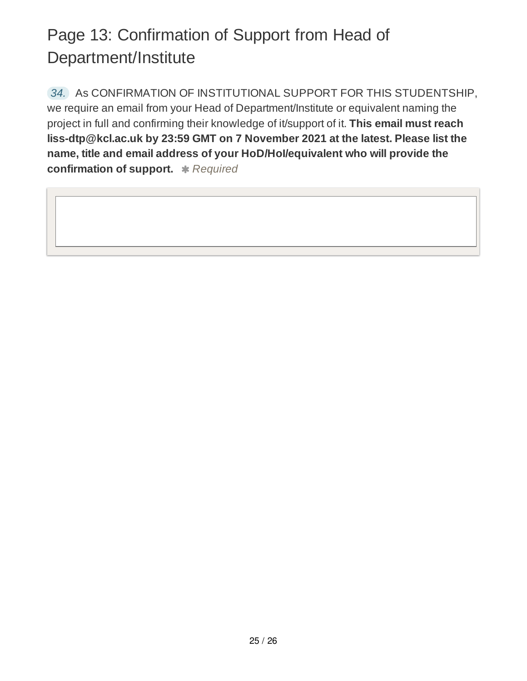# Page 13: Confirmation of Support from Head of Department/Institute

*34.* As CONFIRMATION OF INSTITUTIONAL SUPPORT FOR THIS STUDENTSHIP, we require an email from your Head of Department/Institute or equivalent naming the project in full and confirming their knowledge of it/support of it. **This email must reach liss-dtp@kcl.ac.uk by 23:59 GMT on 7 November 2021 at the latest. Please list the name, title and email address of your HoD/HoI/equivalent who will provide the confirmation of support.** *Required*